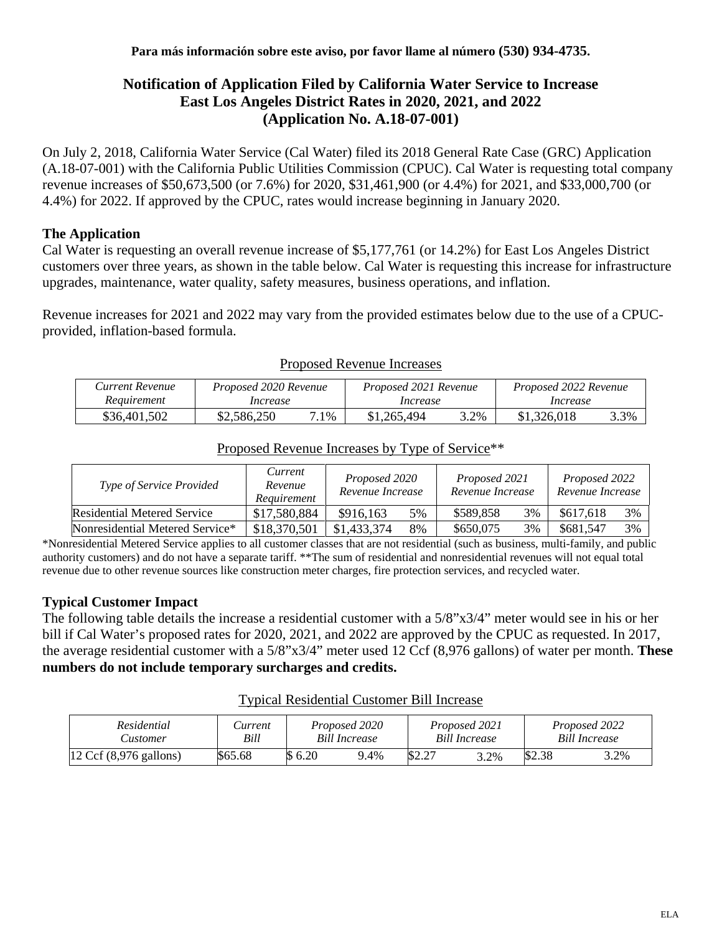### **Notification of Application Filed by California Water Service to Increase East Los Angeles District Rates in 2020, 2021, and 2022 (Application No. A.18-07-001)**

On July 2, 2018, California Water Service (Cal Water) filed its 2018 General Rate Case (GRC) Application (A.18-07-001) with the California Public Utilities Commission (CPUC). Cal Water is requesting total company revenue increases of \$50,673,500 (or 7.6%) for 2020, \$31,461,900 (or 4.4%) for 2021, and \$33,000,700 (or 4.4%) for 2022. If approved by the CPUC, rates would increase beginning in January 2020.

### **The Application**

Cal Water is requesting an overall revenue increase of \$5,177,761 (or 14.2%) for East Los Angeles District customers over three years, as shown in the table below. Cal Water is requesting this increase for infrastructure upgrades, maintenance, water quality, safety measures, business operations, and inflation.

Revenue increases for 2021 and 2022 may vary from the provided estimates below due to the use of a CPUCprovided, inflation-based formula.

| Current Revenue | Proposed 2020 Revenue |      | Proposed 2021 Revenue |      | Proposed 2022 Revenue |      |  |
|-----------------|-----------------------|------|-----------------------|------|-----------------------|------|--|
| Requirement     | Increase              |      | Increase              |      | Increase              |      |  |
| \$36,401,502    | \$2,586,250           | 7.1% | \$1,265,494           | 3.2% | \$1,326,018           | 3.3% |  |

#### Proposed Revenue Increases

| <i>Type of Service Provided</i> | Current<br>Revenue<br>Requirement | Proposed 2020<br>Revenue Increase |    | Proposed 2021<br>Revenue Increase |    | Proposed 2022<br>Revenue Increase |    |
|---------------------------------|-----------------------------------|-----------------------------------|----|-----------------------------------|----|-----------------------------------|----|
| Residential Metered Service     | \$17,580,884                      | \$916,163                         | 5% | \$589.858                         | 3% | \$617,618                         | 3% |

## Proposed Revenue Increases by Type of Service\*\*

\*Nonresidential Metered Service applies to all customer classes that are not residential (such as business, multi-family, and public authority customers) and do not have a separate tariff. \*\*The sum of residential and nonresidential revenues will not equal total revenue due to other revenue sources like construction meter charges, fire protection services, and recycled water.

Nonresidential Metered Service\* | \$18,370,501 | \$1,433,374 8% | \$650,075 3% | \$681,547 3%

### **Typical Customer Impact**

The following table details the increase a residential customer with a 5/8"x3/4" meter would see in his or her bill if Cal Water's proposed rates for 2020, 2021, and 2022 are approved by the CPUC as requested. In 2017, the average residential customer with a 5/8"x3/4" meter used 12 Ccf (8,976 gallons) of water per month. **These numbers do not include temporary surcharges and credits.**

# Typical Residential Customer Bill Increase

| Residential                               | <i>Current</i> | Proposed 2020        |      | Proposed 2021        |      | Proposed 2022        |      |
|-------------------------------------------|----------------|----------------------|------|----------------------|------|----------------------|------|
| ustomer.                                  | Bill           | <b>Bill Increase</b> |      | <b>Bill Increase</b> |      | <b>Bill Increase</b> |      |
| $12 \text{ Ccf } (8,976 \text{ gallons})$ | \$65.68        | 6.20                 | 9.4% | \$2.27               | 3.2% | \$2.38               | 3.2% |